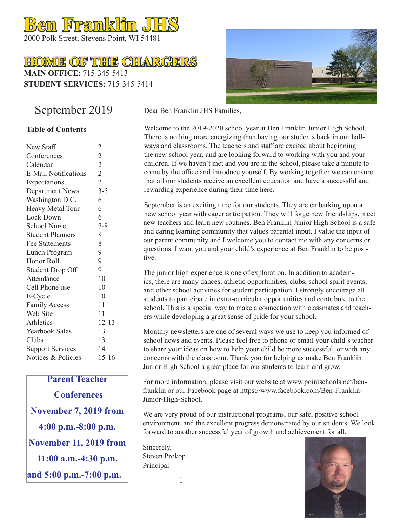# **Ben Franklin JHS**

2000 Polk Street, Stevens Point, WI 54481

# **HOME OF THE CHARGERS**

**MAIN OFFICE:** 715-345-5413 **STUDENT SERVICES:** 715-345-5414

# September 2019

### **Table of Contents**

| New Staff                   | $\overline{c}$ |
|-----------------------------|----------------|
| Conferences                 | $\overline{2}$ |
| Calendar                    | $\overline{2}$ |
| <b>E-Mail Notifications</b> | $\overline{2}$ |
| Expectations                | $\overline{2}$ |
| <b>Department News</b>      | $3 - 5$        |
| Washington D.C.             | 6              |
| Heavy Metal Tour            | 6              |
| Lock Down                   | 6              |
| <b>School Nurse</b>         | $7 - 8$        |
| <b>Student Planners</b>     | 8              |
| <b>Fee Statements</b>       | 8              |
| Lunch Program               | 9              |
| Honor Roll                  | 9              |
| <b>Student Drop Off</b>     | 9              |
| Attendance                  | 10             |
| Cell Phone use              | 10             |
| E-Cycle                     | 10             |
| <b>Family Access</b>        | 11             |
| Web Site                    | 11             |
| Athletics                   | 12-13          |
| <b>Yearbook Sales</b>       | 13             |
| Clubs                       | 13             |
| <b>Support Services</b>     | 14             |
| Notices & Policies          | $15 - 16$      |
|                             |                |

### **Parent Teacher**

 **Conferences November 7, 2019 from 4:00 p.m.-8:00 p.m. November 11, 2019 from 11:00 a.m.-4:30 p.m. and 5:00 p.m.-7:00 p.m.**



Dear Ben Franklin JHS Families,

Welcome to the 2019-2020 school year at Ben Franklin Junior High School. There is nothing more energizing than having our students back in our hallways and classrooms. The teachers and staff are excited about beginning the new school year, and are looking forward to working with you and your children. If we haven't met and you are in the school, please take a minute to come by the office and introduce yourself. By working together we can ensure that all our students receive an excellent education and have a successful and rewarding experience during their time here.

September is an exciting time for our students. They are embarking upon a new school year with eager anticipation. They will forge new friendships, meet new teachers and learn new routines. Ben Franklin Junior High School is a safe and caring learning community that values parental input. I value the input of our parent community and I welcome you to contact me with any concerns or questions. I want you and your child's experience at Ben Franklin to be positive.

The junior high experience is one of exploration. In addition to academics, there are many dances, athletic opportunities, clubs, school spirit events, and other school activities for student participation. I strongly encourage all students to participate in extra-curricular opportunities and contribute to the school. This is a special way to make a connection with classmates and teachers while developing a great sense of pride for your school.

Monthly newsletters are one of several ways we use to keep you informed of school news and events. Please feel free to phone or email your child's teacher to share your ideas on how to help your child be more successful, or with any concerns with the classroom. Thank you for helping us make Ben Franklin Junior High School a great place for our students to learn and grow.

For more information, please visit our website at www.pointschools.net/benfranklin or our Facebook page at https://www.facebook.com/Ben-Franklin-Junior-High-School.

We are very proud of our instructional programs, our safe, positive school environment, and the excellent progress demonstrated by our students. We look forward to another successful year of growth and achievement for all.

Sincerely, Steven Prokop Principal

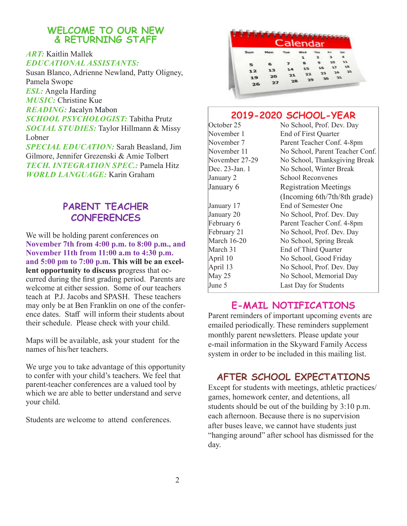### **WELCOME TO OUR NEW & RETURNING STAFF**

### *ART:* Kaitlin Mallek *EDUCATIONAL ASSISTANTS:*

Susan Blanco, Adrienne Newland, Patty Oligney, Pamela Swope *ESL:* Angela Harding *MUSIC:* Christine Kue *READING:* Jacalyn Mabon *SCHOOL PSYCHOLOGIST:* Tabitha Prutz *SOCIAL STUDIES:* Taylor Hillmann & Missy Lobner *SPECIAL EDUCATION:* Sarah Beasland, Jim Gilmore, Jennifer Grezenski & Amie Tolbert

*TECH. INTEGRATION SPEC.:* Pamela Hitz *WORLD LANGUAGE:* Karin Graham

# **PARENT TEACHER CONFERENCES**

We will be holding parent conferences on **November 7th from 4:00 p.m. to 8:00 p.m., and November 11th from 11:00 a.m to 4:30 p.m. and 5:00 pm to 7:00 p.m. This will be an excellent opportunity to discuss p**rogress that occurred during the first grading period. Parents are welcome at either session. Some of our teachers teach at P.J. Jacobs and SPASH. These teachers may only be at Ben Franklin on one of the conference dates. Staff will inform their students about their schedule. Please check with your child.

Maps will be available, ask your student for the names of his/her teachers.

We urge you to take advantage of this opportunity to confer with your child's teachers. We feel that parent-teacher conferences are a valued tool by which we are able to better understand and serve your child.

Students are welcome to attend conferences.

|    |    | Calendar |    |    |    |    |
|----|----|----------|----|----|----|----|
|    |    |          |    |    |    |    |
|    |    |          |    |    |    |    |
|    |    |          |    |    | 10 | 11 |
|    |    |          | ٦S | ۱б | ٦J | ۹B |
| 12 |    |          |    | 23 |    | 15 |
| 19 | 20 |          | 29 | 30 |    |    |
| 26 | 27 | 28       |    |    |    |    |

### **2019-2020 SCHOOL-YEAR**

October 25 No School, Prof. Dev. Day November 1 End of First Quarter November 7 Parent Teacher Conf. 4-8pm November 11 No School, Parent Teacher Conf. November 27-29 No School, Thanksgiving Break Dec. 23-Jan. 1 No School, Winter Break January 2 School Reconvenes January 6 Registration Meetings (Incoming 6th/7th/8th grade) January 17 End of Semester One January 20 No School, Prof. Dev. Day February 6 Parent Teacher Conf. 4-8pm February 21 No School, Prof. Dev. Day March 16-20 No School, Spring Break March 31 End of Third Quarter April 10 No School, Good Friday April 13 No School, Prof. Dev. Day May 25 No School, Memorial Day June 5 Last Day for Students

### **E-MAIL NOTIFICATIONS**

Parent reminders of important upcoming events are emailed periodically. These reminders supplement monthly parent newsletters. Please update your e-mail information in the Skyward Family Access system in order to be included in this mailing list.

# **AFTER SCHOOL EXPECTATIONS**

Except for students with meetings, athletic practices/ games, homework center, and detentions, all students should be out of the building by 3:10 p.m. each afternoon. Because there is no supervision after buses leave, we cannot have students just "hanging around" after school has dismissed for the day.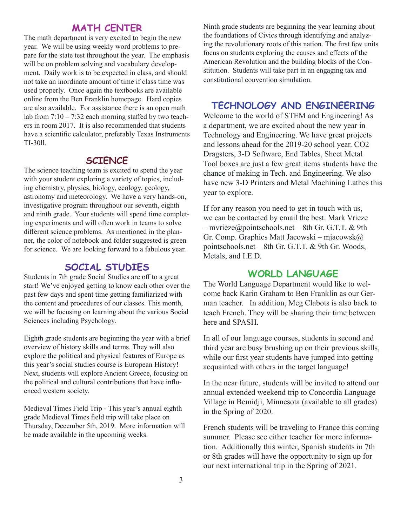### **MATH CENTER**

The math department is very excited to begin the new year. We will be using weekly word problems to prepare for the state test throughout the year. The emphasis will be on problem solving and vocabulary development. Daily work is to be expected in class, and should not take an inordinate amount of time if class time was used properly. Once again the textbooks are available online from the Ben Franklin homepage. Hard copies are also available. For assistance there is an open math lab from 7:10 – 7:32 each morning staffed by two teachers in room 2017. It is also recommended that students have a scientific calculator, preferably Texas Instruments TI-30ll.

### **SCIENCE**

The science teaching team is excited to spend the year with your student exploring a variety of topics, including chemistry, physics, biology, ecology, geology, astronomy and meteorology. We have a very hands-on, investigative program throughout our seventh, eighth and ninth grade. Your students will spend time completing experiments and will often work in teams to solve different science problems. As mentioned in the planner, the color of notebook and folder suggested is green for science. We are looking forward to a fabulous year.

### **SOCIAL STUDIES**

Students in 7th grade Social Studies are off to a great start! We've enjoyed getting to know each other over the past few days and spent time getting familiarized with the content and procedures of our classes. This month, we will be focusing on learning about the various Social Sciences including Psychology.

Eighth grade students are beginning the year with a brief overview of history skills and terms. They will also explore the political and physical features of Europe as this year's social studies course is European History! Next, students will explore Ancient Greece, focusing on the political and cultural contributions that have influenced western society.

Medieval Times Field Trip - This year's annual eighth grade Medieval Times field trip will take place on Thursday, December 5th, 2019. More information will be made available in the upcoming weeks.

Ninth grade students are beginning the year learning about the foundations of Civics through identifying and analyzing the revolutionary roots of this nation. The first few units focus on students exploring the causes and effects of the American Revolution and the building blocks of the Constitution. Students will take part in an engaging tax and constitutional convention simulation.

### **TECHNOLOGY AND ENGINEERING**

Welcome to the world of STEM and Engineering! As a department, we are excited about the new year in Technology and Engineering. We have great projects and lessons ahead for the 2019-20 school year. CO2 Dragsters, 3-D Software, End Tables, Sheet Metal Tool boxes are just a few great items students have the chance of making in Tech. and Engineering. We also have new 3-D Printers and Metal Machining Lathes this year to explore.

If for any reason you need to get in touch with us, we can be contacted by email the best. Mark Vrieze  $-$  mvrieze@pointschools.net – 8th Gr. G.T.T. & 9th Gr. Comp. Graphics Matt Jacowski – mjacowsk@ pointschools.net – 8th Gr. G.T.T. & 9th Gr. Woods, Metals, and I.E.D.

### **WORLD LANGUAGE**

The World Language Department would like to welcome back Karin Graham to Ben Franklin as our German teacher. In addition, Meg Clabots is also back to teach French. They will be sharing their time between here and SPASH.

In all of our language courses, students in second and third year are busy brushing up on their previous skills, while our first year students have jumped into getting acquainted with others in the target language!

In the near future, students will be invited to attend our annual extended weekend trip to Concordia Language Village in Bemidji, Minnesota (available to all grades) in the Spring of 2020.

French students will be traveling to France this coming summer. Please see either teacher for more information. Additionally this winter, Spanish students in 7th or 8th grades will have the opportunity to sign up for our next international trip in the Spring of 2021.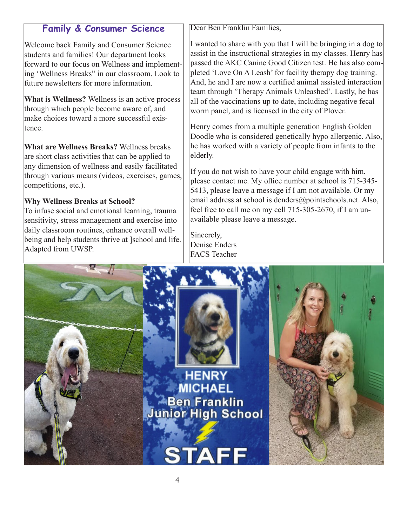# **Family & Consumer Science**

Welcome back Family and Consumer Science students and families! Our department looks forward to our focus on Wellness and implementing 'Wellness Breaks" in our classroom. Look to future newsletters for more information.

**What is Wellness?** Wellness is an active process through which people become aware of, and make choices toward a more successful existence.

**What are Wellness Breaks?** Wellness breaks are short class activities that can be applied to any dimension of wellness and easily facilitated through various means (videos, exercises, games, competitions, etc.).

### **Why Wellness Breaks at School?**

To infuse social and emotional learning, trauma sensitivity, stress management and exercise into daily classroom routines, enhance overall wellbeing and help students thrive at ]school and life. Adapted from UWSP.

Dear Ben Franklin Families,

I wanted to share with you that I will be bringing in a dog to assist in the instructional strategies in my classes. Henry has passed the AKC Canine Good Citizen test. He has also completed 'Love On A Leash' for facility therapy dog training. And, he and I are now a certified animal assisted interaction team through 'Therapy Animals Unleashed'. Lastly, he has all of the vaccinations up to date, including negative fecal worm panel, and is licensed in the city of Plover.

Henry comes from a multiple generation English Golden Doodle who is considered genetically hypo allergenic. Also, he has worked with a variety of people from infants to the elderly.

If you do not wish to have your child engage with him, please contact me. My office number at school is 715-345- 5413, please leave a message if I am not available. Or my email address at school is denders@pointschools.net. Also, feel free to call me on my cell 715-305-2670, if I am unavailable please leave a message.

Sincerely, Denise Enders FACS Teacher

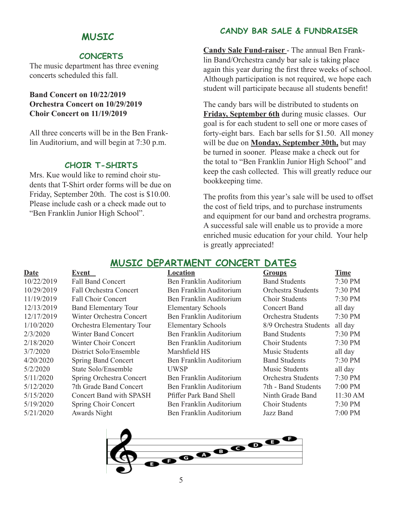### **MUSIC**

### **CONCERTS**

The music department has three evening concerts scheduled this fall.

### **Band Concert on 10/22/2019 Orchestra Concert on 10/29/2019 Choir Concert on 11/19/2019**

All three concerts will be in the Ben Franklin Auditorium, and will begin at 7:30 p.m.

### **CHOIR T-SHIRTS**

Mrs. Kue would like to remind choir students that T-Shirt order forms will be due on Friday, September 20th. The cost is \$10.00. Please include cash or a check made out to "Ben Franklin Junior High School".

### **CANDY BAR SALE & FUNDRAISER**

**Candy Sale Fund-raiser** - The annual Ben Franklin Band/Orchestra candy bar sale is taking place again this year during the first three weeks of school. Although participation is not required, we hope each student will participate because all students benefit!

The candy bars will be distributed to students on **Friday, September 6th** during music classes. Our goal is for each student to sell one or more cases of forty-eight bars. Each bar sells for \$1.50. All money will be due on **Monday, September 30th,** but may be turned in sooner. Please make a check out for the total to "Ben Franklin Junior High School" and keep the cash collected. This will greatly reduce our bookkeeping time.

The profits from this year's sale will be used to offset the cost of field trips, and to purchase instruments and equipment for our band and orchestra programs. A successful sale will enable us to provide a more enriched music education for your child. Your help is greatly appreciated!

### **MUSIC DEPARTMENT CONCERT DATES**

| Date       | Event                         | Location                       | <b>Groups</b>          | <b>Time</b> |
|------------|-------------------------------|--------------------------------|------------------------|-------------|
| 10/22/2019 | <b>Fall Band Concert</b>      | Ben Franklin Auditorium        | <b>Band Students</b>   | 7:30 PM     |
| 10/29/2019 | <b>Fall Orchestra Concert</b> | Ben Franklin Auditorium        | Orchestra Students     | 7:30 PM     |
| 11/19/2019 | Fall Choir Concert            | Ben Franklin Auditorium        | Choir Students         | 7:30 PM     |
| 12/13/2019 | <b>Band Elementary Tour</b>   | <b>Elementary Schools</b>      | Concert Band           | all day     |
| 12/17/2019 | Winter Orchestra Concert      | Ben Franklin Auditorium        | Orchestra Students     | 7:30 PM     |
| 1/10/2020  | Orchestra Elementary Tour     | <b>Elementary Schools</b>      | 8/9 Orchestra Students | all day     |
| 2/3/2020   | Winter Band Concert           | Ben Franklin Auditorium        | <b>Band Students</b>   | 7:30 PM     |
| 2/18/2020  | Winter Choir Concert          | Ben Franklin Auditorium        | Choir Students         | 7:30 PM     |
| 3/7/2020   | District Solo/Ensemble        | Marshfield HS                  | Music Students         | all day     |
| 4/20/2020  | <b>Spring Band Concert</b>    | Ben Franklin Auditorium        | <b>Band Students</b>   | $7:30$ PM   |
| 5/2/2020   | State Solo/Ensemble           | <b>UWSP</b>                    | Music Students         | all day     |
| 5/11/2020  | Spring Orchestra Concert      | Ben Franklin Auditorium        | Orchestra Students     | 7:30 PM     |
| 5/12/2020  | 7th Grade Band Concert        | Ben Franklin Auditorium        | 7th - Band Students    | 7:00 PM     |
| 5/15/2020  | Concert Band with SPASH       | <b>Pfiffer Park Band Shell</b> | Ninth Grade Band       | 11:30 AM    |
| 5/19/2020  | Spring Choir Concert          | Ben Franklin Auditorium        | Choir Students         | 7:30 PM     |
| 5/21/2020  | <b>Awards Night</b>           | Ben Franklin Auditorium        | Jazz Band              | 7:00 PM     |

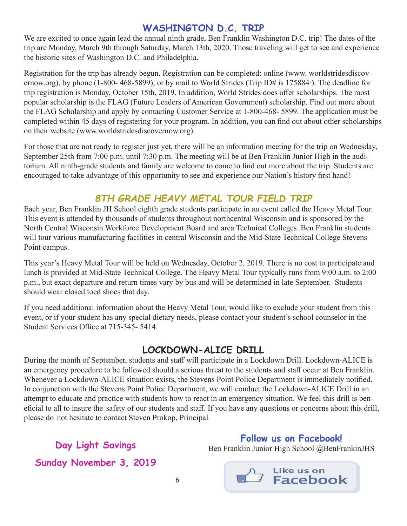# **WASHINGTON D.C. TRIP**

We are excited to once again lead the annual ninth grade, Ben Franklin Washington D.C. trip! The dates of the trip are Monday, March 9th through Saturday, March 13th, 2020. Those traveling will get to see and experience the historic sites of Washington D.C. and Philadelphia.

Registration for the trip has already begun. Registration can be completed: online (www. worldstridesdiscovernow.org), by phone (1-800- 468-5899), or by mail to World Strides (Trip ID# is 175884 ). The deadline for trip registration is Monday, October 15th, 2019. In addition, World Strides does offer scholarships. The most popular scholarship is the FLAG (Future Leaders of American Government) scholarship. Find out more about the FLAG Scholarship and apply by contacting Customer Service at 1-800-468- 5899. The application must be completed within 45 days of registering for your program. In addition, you can find out about other scholarships on their website (www.worldstridesdiscovernow.org).

For those that are not ready to register just yet, there will be an information meeting for the trip on Wednesday, September 25th from 7:00 p.m. until 7:30 p.m. The meeting will be at Ben Franklin Junior High in the auditorium. All ninth-grade students and family are welcome to come to find out more about the trip. Students are encouraged to take advantage of this opportunity to see and experience our Nation's history first hand!

# *8TH GRADE HEAVY METAL TOUR FIELD TRIP*

Each year, Ben Franklin JH School eighth grade students participate in an event called the Heavy Metal Tour. This event is attended by thousands of students throughout northcentral Wisconsin and is sponsored by the North Central Wisconsin Workforce Development Board and area Technical Colleges. Ben Franklin students will tour various manufacturing facilities in central Wisconsin and the Mid-State Technical College Stevens Point campus.

This year's Heavy Metal Tour will be held on Wednesday, October 2, 2019. There is no cost to participate and lunch is provided at Mid-State Technical College. The Heavy Metal Tour typically runs from 9:00 a.m. to 2:00 p.m., but exact departure and return times vary by bus and will be determined in late September. Students should wear closed toed shoes that day.

If you need additional information about the Heavy Metal Tour, would like to exclude your student from this event, or if your student has any special dietary needs, please contact your student's school counselor in the Student Services Office at 715-345- 5414.

# **LOCKDOWN-ALICE DRILL**

During the month of September, students and staff will participate in a Lockdown Drill. Lockdown-ALICE is an emergency procedure to be followed should a serious threat to the students and staff occur at Ben Franklin. Whenever a Lockdown-ALICE situation exists, the Stevens Point Police Department is immediately notified. In conjunction with the Stevens Point Police Department, we will conduct the Lockdown-ALICE Drill in an attempt to educate and practice with students how to react in an emergency situation. We feel this drill is beneficial to all to insure the safety of our students and staff. If you have any questions or concerns about this drill, please do not hesitate to contact Steven Prokop, Principal.

**Day Light Savings Sunday November 3, 2019**

**Follow us on Facebook!**  Ben Franklin Junior High School @BenFrankinJHS

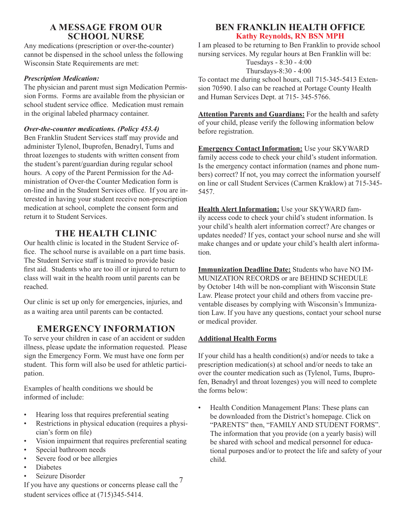### **A MESSAGE FROM OUR SCHOOL NURSE**

Any medications (prescription or over-the-counter) cannot be dispensed in the school unless the following Wisconsin State Requirements are met:

### *Prescription Medication:*

The physician and parent must sign Medication Permission Forms. Forms are available from the physician or school student service office. Medication must remain in the original labeled pharmacy container.

### *Over-the-counter medications. (Policy 453.4)*

Ben Franklin Student Services staff may provide and administer Tylenol, Ibuprofen, Benadryl, Tums and throat lozenges to students with written consent from the student's parent/guardian during regular school hours. A copy of the Parent Permission for the Administration of Over-the Counter Medication form is on-line and in the Student Services office. If you are interested in having your student receive non-prescription medication at school, complete the consent form and return it to Student Services.

### **THE HEALTH CLINIC**

Our health clinic is located in the Student Service office. The school nurse is available on a part time basis. The Student Service staff is trained to provide basic first aid. Students who are too ill or injured to return to class will wait in the health room until parents can be reached.

Our clinic is set up only for emergencies, injuries, and as a waiting area until parents can be contacted.

### **EMERGENCY INFORMATION**

To serve your children in case of an accident or sudden illness, please update the information requested. Please sign the Emergency Form. We must have one form per student. This form will also be used for athletic participation.

Examples of health conditions we should be informed of include:

- Hearing loss that requires preferential seating
- Restrictions in physical education (requires a physician's form on file)
- Vision impairment that requires preferential seating
- Special bathroom needs
- Severe food or bee allergies
- Diabetes
- Seizure Disorder

### sion 70590. I also can be reached at Portage County Health and Human Services Dept. at 715- 345-5766.

**Attention Parents and Guardians:** For the health and safety of your child, please verify the following information below before registration.

To contact me during school hours, call 715-345-5413 Exten-

**BEN FRANKLIN HEALTH OFFICE Kathy Reynolds, RN BSN MPH** I am pleased to be returning to Ben Franklin to provide school nursing services. My regular hours at Ben Franklin will be: Tuesdays - 8:30 - 4:00 Thursdays-8:30 - 4:00

**Emergency Contact Information:** Use your SKYWARD family access code to check your child's student information. Is the emergency contact information (names and phone numbers) correct? If not, you may correct the information yourself on line or call Student Services (Carmen Kraklow) at 715-345- 5457.

**Health Alert Information:** Use your SKYWARD family access code to check your child's student information. Is your child's health alert information correct? Are changes or updates needed? If yes, contact your school nurse and she will make changes and or update your child's health alert information.

**Immunization Deadline Date:** Students who have NO IM-MUNIZATION RECORDS or are BEHIND SCHEDULE by October 14th will be non-compliant with Wisconsin State Law. Please protect your child and others from vaccine preventable diseases by complying with Wisconsin's Immunization Law. If you have any questions, contact your school nurse or medical provider.

### **Additional Health Forms**

If your child has a health condition(s) and/or needs to take a prescription medication(s) at school and/or needs to take an over the counter medication such as (Tylenol, Tums, Ibuprofen, Benadryl and throat lozenges) you will need to complete the forms below:

• Health Condition Management Plans: These plans can be downloaded from the District's homepage. Click on "PARENTS" then, "FAMILY AND STUDENT FORMS". The information that you provide (on a yearly basis) will be shared with school and medical personnel for educational purposes and/or to protect the life and safety of your child.

<sup>7</sup> Seizure Disoruer<br>If you have any questions or concerns please call the<sup>7</sup> student services office at (715)345-5414.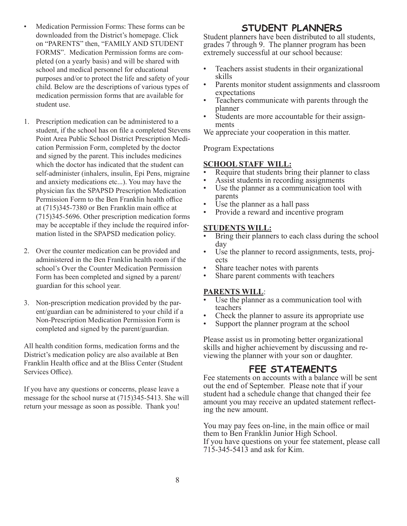- Medication Permission Forms: These forms can be downloaded from the District's homepage. Click on "PARENTS" then, "FAMILY AND STUDENT FORMS". Medication Permission forms are completed (on a yearly basis) and will be shared with school and medical personnel for educational purposes and/or to protect the life and safety of your child. Below are the descriptions of various types of medication permission forms that are available for student use.
- 1. Prescription medication can be administered to a student, if the school has on file a completed Stevens Point Area Public School District Prescription Medication Permission Form, completed by the doctor and signed by the parent. This includes medicines which the doctor has indicated that the student can self-administer (inhalers, insulin, Epi Pens, migraine and anxiety medications etc...). You may have the physician fax the SPAPSD Prescription Medication Permission Form to the Ben Franklin health office at (715)345-7380 or Ben Franklin main office at (715)345-5696. Other prescription medication forms may be acceptable if they include the required information listed in the SPAPSD medication policy.
- 2. Over the counter medication can be provided and administered in the Ben Franklin health room if the school's Over the Counter Medication Permission Form has been completed and signed by a parent/ guardian for this school year.
- 3. Non-prescription medication provided by the parent/guardian can be administered to your child if a Non-Prescription Medication Permission Form is completed and signed by the parent/guardian.

All health condition forms, medication forms and the District's medication policy are also available at Ben Franklin Health office and at the Bliss Center (Student Services Office).

If you have any questions or concerns, please leave a message for the school nurse at (715)345-5413. She will return your message as soon as possible. Thank you!

# **STUDENT PLANNERS**

Student planners have been distributed to all students, grades 7 through 9. The planner program has been extremely successful at our school because:

- Teachers assist students in their organizational
- skills Parents monitor student assignments and classroom
- expectations<br>
Teachers communicate with parents through the<br>
planner
- Students are more accountable for their assign-<br>ments

We appreciate your cooperation in this matter.

### Program Expectations

- **SCHOOL STAFF WILL:**<br>• Require that students bring their planner to class
- 
- Assist students in recording assignments<br>Use the planner as a communication tool with parents<br>Use the planner as a hall pass<br>Provide a reward and incentive program
- 
- 

### **STUDENTS WILL:**

- Bring their planners to each class during the school
- day<br>
 Use the planner to record assignments, tests, projects<br>
 Share teacher notes with parents<br>
 Share parent comments with teachers
- 
- 

- **PARENTS WILL**:<br>• Use the planner as a communication tool with
- teachers Check the planner to assure its appropriate use Support the planner program at the school
- 

Please assist us in promoting better organizational skills and higher achievement by discussing and re- viewing the planner with your son or daughter.

# **FEE STATEMENTS**

Fee statements on accounts with a balance will be sent out the end of September. Please note that if your student had a schedule change that changed their fee amount you may receive an updated statement reflecting the new amount.

You may pay fees on-line, in the main office or mail them to Ben Franklin Junior High School. If you have questions on your fee statement, please call 715-345-5413 and ask for Kim.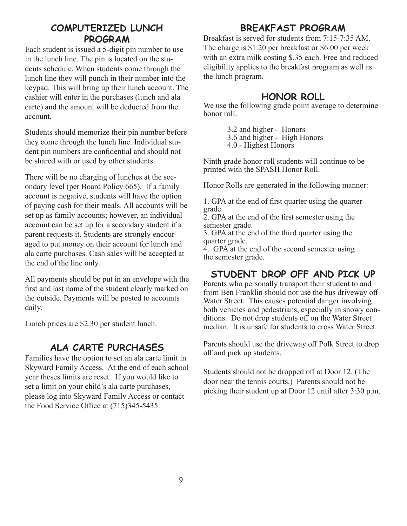# **COMPUTERIZED LUNCH PROGRAM**

Each student is issued a 5-digit pin number to use in the lunch line. The pin is located on the students schedule. When students come through the lunch line they will punch in their number into the keypad. This will bring up their lunch account. The cashier will enter in the purchases (lunch and ala carte) and the amount will be deducted from the account.

Students should memorize their pin number before they come through the lunch line. Individual student pin numbers are confidential and should not be shared with or used by other students.

There will be no charging of lunches at the secondary level (per Board Policy 665). If a family account is negative, students will have the option of paying cash for their meals. All accounts will be set up as family accounts; however, an individual account can be set up for a secondary student if a parent requests it. Students are strongly encouraged to put money on their account for lunch and ala carte purchases. Cash sales will be accepted at the end of the line only.

All payments should be put in an envelope with the first and last name of the student clearly marked on the outside. Payments will be posted to accounts daily.

Lunch prices are \$2.30 per student lunch.

# **ALA CARTE PURCHASES**

Families have the option to set an ala carte limit in Skyward Family Access. At the end of each school year theses limits are reset. If you would like to set a limit on your child's ala carte purchases, please log into Skyward Family Access or contact the Food Service Office at (715)345-5435.

# **BREAKFAST PROGRAM**

Breakfast is served for students from 7:15-7:35 AM. The charge is \$1.20 per breakfast or \$6.00 per week with an extra milk costing \$.35 each. Free and reduced eligibility applies to the breakfast program as well as the lunch program.

### **HONOR ROLL**

We use the following grade point average to determine honor roll.

> 3.2 and higher - Honors 3.6 and higher - High Honors 4.0 - Highest Honors

Ninth grade honor roll students will continue to be printed with the SPASH Honor Roll.

Honor Rolls are generated in the following manner:

1. GPA at the end of first quarter using the quarter grade.

2. GPA at the end of the first semester using the semester grade.

3. GPA at the end of the third quarter using the quarter grade.

4. GPA at the end of the second semester using the semester grade.

# **STUDENT DROP OFF AND PICK UP**

Parents who personally transport their student to and from Ben Franklin should not use the bus driveway off Water Street. This causes potential danger involving both vehicles and pedestrians, especially in snowy conditions. Do not drop students off on the Water Street median. It is unsafe for students to cross Water Street.

Parents should use the driveway off Polk Street to drop off and pick up students.

Students should not be dropped off at Door 12. (The door near the tennis courts.) Parents should not be picking their student up at Door 12 until after 3:30 p.m.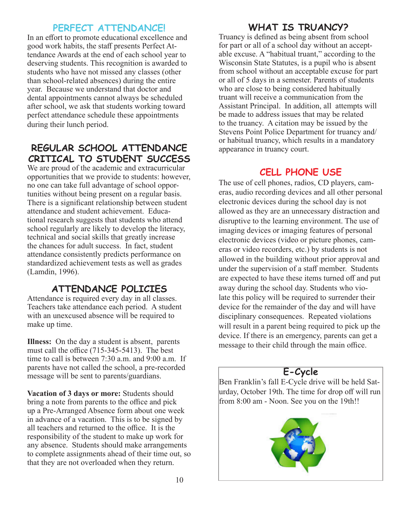### **PERFECT ATTENDANCE!**

In an effort to promote educational excellence and good work habits, the staff presents Perfect Attendance Awards at the end of each school year to deserving students. This recognition is awarded to students who have not missed any classes (other than school-related absences) during the entire year. Because we understand that doctor and dental appointments cannot always be scheduled after school, we ask that students working toward perfect attendance schedule these appointments during their lunch period.

# **REGULAR SCHOOL ATTENDANCE** appearance in truancy court. **CRITICAL TO STUDENT SUCCESS**

We are proud of the academic and extracurricular opportunities that we provide to students: however, no one can take full advantage of school opportunities without being present on a regular basis. There is a significant relationship between student attendance and student achievement. Educational research suggests that students who attend school regularly are likely to develop the literacy, technical and social skills that greatly increase the chances for adult success. In fact, student attendance consistently predicts performance on standardized achievement tests as well as grades (Lamdin, 1996).

# **ATTENDANCE POLICIES**

Attendance is required every day in all classes. Teachers take attendance each period. A student with an unexcused absence will be required to make up time.

**Illness:** On the day a student is absent, parents must call the office (715-345-5413). The best time to call is between 7:30 a.m. and 9:00 a.m. If parents have not called the school, a pre-recorded message will be sent to parents/guardians.

**Vacation of 3 days or more:** Students should bring a note from parents to the office and pick up a Pre-Arranged Absence form about one week in advance of a vacation. This is to be signed by all teachers and returned to the office. It is the responsibility of the student to make up work for any absence. Students should make arrangements to complete assignments ahead of their time out, so that they are not overloaded when they return.

# **WHAT IS TRUANCY?**

Truancy is defined as being absent from school for part or all of a school day without an acceptable excuse. A "habitual truant," according to the Wisconsin State Statutes, is a pupil who is absent from school without an acceptable excuse for part or all of 5 days in a semester. Parents of students who are close to being considered habitually truant will receive a communication from the Assistant Principal. In addition, all attempts will be made to address issues that may be related to the truancy. A citation may be issued by the Stevens Point Police Department for truancy and/ or habitual truancy, which results in a mandatory

# **CELL PHONE USE**

The use of cell phones, radios, CD players, cameras, audio recording devices and all other personal electronic devices during the school day is not allowed as they are an unnecessary distraction and disruptive to the learning environment. The use of imaging devices or imaging features of personal electronic devices (video or picture phones, cameras or video recorders, etc.) by students is not allowed in the building without prior approval and under the supervision of a staff member. Students are expected to have these items turned off and put away during the school day. Students who violate this policy will be required to surrender their device for the remainder of the day and will have disciplinary consequences. Repeated violations will result in a parent being required to pick up the device. If there is an emergency, parents can get a message to their child through the main office.

# **E-Cycle**

Ben Franklin's fall E-Cycle drive will be held Saturday, October 19th. The time for drop off will run from 8:00 am - Noon. See you on the 19th!!

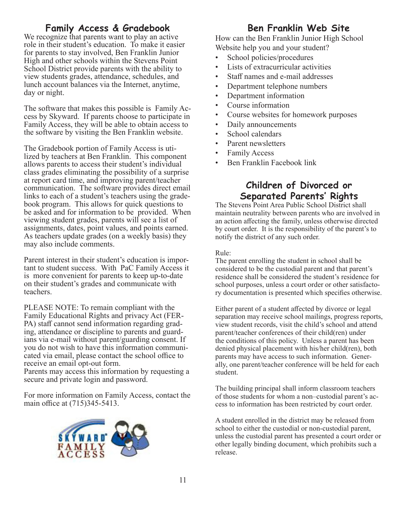# **Family Access & Gradebook**<br>We recognize that parents want to play an active

role in their student's education. To make it easier for parents to stay involved, Ben Franklin Junior High and other schools within the Stevens Point School District provide parents with the ability to view students grades, attendance, schedules, and lunch account balances via the Internet, anytime, day or night.

The software that makes this possible is Family Ac- cess by Skyward. If parents choose to participate in Family Access, they will be able to obtain access to the software by visiting the Ben Franklin website.

The Gradebook portion of Family Access is uti- lized by teachers at Ben Franklin. This component allows parents to access their student's individual class grades eliminating the possibility of a surprise at report card time, and improving parent/teacher communication. The software provides direct email links to each of a student's teachers using the grade- book program. This allows for quick questions to be asked and for information to be provided. When viewing student grades, parents will see a list of assignments, dates, point values, and points earned. As teachers update grades (on a weekly basis) they may also include comments.

Parent interest in their student's education is important to student success. With PaC Family Access it is more convenient for parents to keep up-to-date on their student's grades and communicate with teachers.

PLEASE NOTE: To remain compliant with the Family Educational Rights and privacy Act (FER-<br>PA) staff cannot send information regarding grad-<br>ing, attendance or discipline to parents and guard-<br>ians via e-mail without parent/guarding consent. If you do not wish to have this information communi- cated via email, please contact the school office to receive an email opt-out form.

Parents may access this information by requesting a secure and private login and password.

For more information on Family Access, contact the main office at (715)345-5413.



# **Ben Franklin Web Site**

How can the Ben Franklin Junior High School Website help you and your student?

- School policies/procedures
- Lists of extracurricular activities
- Staff names and e-mail addresses
- Department telephone numbers
- Department information
- Course information
- Course websites for homework purposes
- Daily announcements
- School calendars
- Parent newsletters
- Family Access
- Ben Franklin Facebook link

# **Children of Divorced or Separated Parents' Rights**

The Stevens Point Area Public School District shall maintain neutrality between parents who are involved in an action affecting the family, unless otherwise directed by court order. It is the responsibility of the parent's to notify the district of any such order.

Rule:

The parent enrolling the student in school shall be considered to be the custodial parent and that parent's residence shall be considered the student's residence for school purposes, unless a court order or other satisfactory documentation is presented which specifies otherwise.

Either parent of a student affected by divorce or legal separation may receive school mailings, progress reports, view student records, visit the child's school and attend parent/teacher conferences of their child(ren) under the conditions of this policy. Unless a parent has been denied physical placement with his/her child(ren), both parents may have access to such information. Generally, one parent/teacher conference will be held for each student.

The building principal shall inform classroom teachers of those students for whom a non–custodial parent's access to information has been restricted by court order.

A student enrolled in the district may be released from school to either the custodial or non-custodial parent, unless the custodial parent has presented a court order or other legally binding document, which prohibits such a release.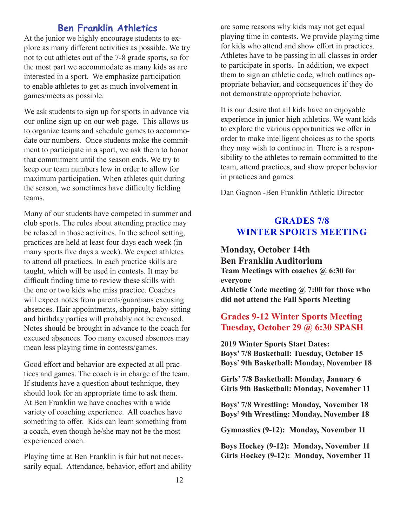# **Ben Franklin Athletics**

At the junior we highly encourage students to explore as many different activities as possible. We try not to cut athletes out of the 7-8 grade sports, so for the most part we accommodate as many kids as are interested in a sport. We emphasize participation to enable athletes to get as much involvement in games/meets as possible.

We ask students to sign up for sports in advance via our online sign up on our web page. This allows us to organize teams and schedule games to accommodate our numbers. Once students make the commitment to participate in a sport, we ask them to honor that commitment until the season ends. We try to keep our team numbers low in order to allow for maximum participation. When athletes quit during the season, we sometimes have difficulty fielding teams.

Many of our students have competed in summer and club sports. The rules about attending practice may be relaxed in those activities. In the school setting, practices are held at least four days each week (in many sports five days a week). We expect athletes to attend all practices. In each practice skills are taught, which will be used in contests. It may be difficult finding time to review these skills with the one or two kids who miss practice. Coaches will expect notes from parents/guardians excusing absences. Hair appointments, shopping, baby-sitting and birthday parties will probably not be excused. Notes should be brought in advance to the coach for excused absences. Too many excused absences may mean less playing time in contests/games.

Good effort and behavior are expected at all practices and games. The coach is in charge of the team. If students have a question about technique, they should look for an appropriate time to ask them. At Ben Franklin we have coaches with a wide variety of coaching experience. All coaches have something to offer. Kids can learn something from a coach, even though he/she may not be the most experienced coach.

Playing time at Ben Franklin is fair but not necessarily equal. Attendance, behavior, effort and ability

are some reasons why kids may not get equal playing time in contests. We provide playing time for kids who attend and show effort in practices. Athletes have to be passing in all classes in order to participate in sports. In addition, we expect them to sign an athletic code, which outlines appropriate behavior, and consequences if they do not demonstrate appropriate behavior.

It is our desire that all kids have an enjoyable experience in junior high athletics. We want kids to explore the various opportunities we offer in order to make intelligent choices as to the sports they may wish to continue in. There is a responsibility to the athletes to remain committed to the team, attend practices, and show proper behavior in practices and games.

Dan Gagnon -Ben Franklin Athletic Director

### **GRADES 7/8 WINTER SPORTS MEETING**

**Monday, October 14th Ben Franklin Auditorium Team Meetings with coaches @ 6:30 for everyone Athletic Code meeting @ 7:00 for those who did not attend the Fall Sports Meeting**

### **Grades 9-12 Winter Sports Meeting Tuesday, October 29 @ 6:30 SPASH**

**2019 Winter Sports Start Dates: Boys' 7/8 Basketball: Tuesday, October 15 Boys' 9th Basketball: Monday, November 18**

**Girls' 7/8 Basketball: Monday, January 6 Girls 9th Basketball: Monday, November 11**

**Boys' 7/8 Wrestling: Monday, November 18 Boys' 9th Wrestling: Monday, November 18**

**Gymnastics (9-12): Monday, November 11**

**Boys Hockey (9-12): Monday, November 11 Girls Hockey (9-12): Monday, November 11**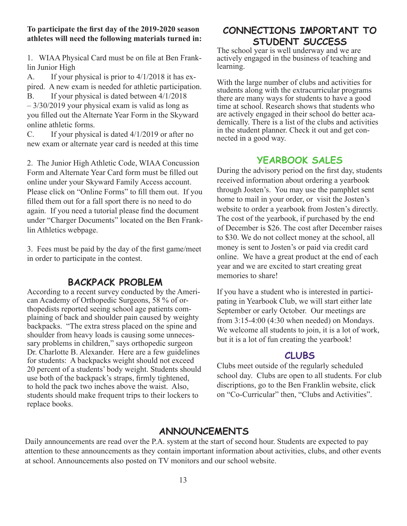### **To participate the first day of the 2019-2020 season athletes will need the following materials turned in:**

1. WIAA Physical Card must be on file at Ben Franklin Junior High

A. If your physical is prior to 4/1/2018 it has expired. A new exam is needed for athletic participation. B. If your physical is dated between 4/1/2018

– 3/30/2019 your physical exam is valid as long as you filled out the Alternate Year Form in the Skyward online athletic forms.

C. If your physical is dated 4/1/2019 or after no new exam or alternate year card is needed at this time

2. The Junior High Athletic Code, WIAA Concussion Form and Alternate Year Card form must be filled out online under your Skyward Family Access account. Please click on "Online Forms" to fill them out. If you filled them out for a fall sport there is no need to do again. If you need a tutorial please find the document under "Charger Documents" located on the Ben Franklin Athletics webpage.

3. Fees must be paid by the day of the first game/meet in order to participate in the contest.

# **BACKPACK PROBLEM**

According to a recent survey conducted by the American Academy of Orthopedic Surgeons, 58 % of orthopedists reported seeing school age patients complaining of back and shoulder pain caused by weighty backpacks. "The extra stress placed on the spine and shoulder from heavy loads is causing some unnecessary problems in children," says orthopedic surgeon Dr. Charlotte B. Alexander. Here are a few guidelines for students: A backpacks weight should not exceed 20 percent of a students' body weight. Students should use both of the backpack's straps, firmly tightened, to hold the pack two inches above the waist. Also, students should make frequent trips to their lockers to replace books.

# **CONNECTIONS IMPORTANT TO STUDENT SUCCESS**

The school year is well underway and we are actively engaged in the business of teaching and learning.

With the large number of clubs and activities for students along with the extracurricular programs there are many ways for students to have a good time at school. Research shows that students who are actively engaged in their school do better academically. There is a list of the clubs and activities in the student planner. Check it out and get connected in a good way.

### **YEARBOOK SALES**

During the advisory period on the first day, students received information about ordering a yearbook through Josten's. You may use the pamphlet sent home to mail in your order, or visit the Josten's website to order a yearbook from Josten's directly. The cost of the yearbook, if purchased by the end of December is \$26. The cost after December raises to \$30. We do not collect money at the school, all money is sent to Josten's or paid via credit card online. We have a great product at the end of each year and we are excited to start creating great memories to share!

If you have a student who is interested in participating in Yearbook Club, we will start either late September or early October. Our meetings are from 3:15-4:00 (4:30 when needed) on Mondays. We welcome all students to join, it is a lot of work, but it is a lot of fun creating the yearbook!

### **CLUBS**

Clubs meet outside of the regularly scheduled school day. Clubs are open to all students. For club discriptions, go to the Ben Franklin website, click on "Co-Curricular" then, "Clubs and Activities".

# **ANNOUNCEMENTS**

Daily announcements are read over the P.A. system at the start of second hour. Students are expected to pay attention to these announcements as they contain important information about activities, clubs, and other events at school. Announcements also posted on TV monitors and our school website.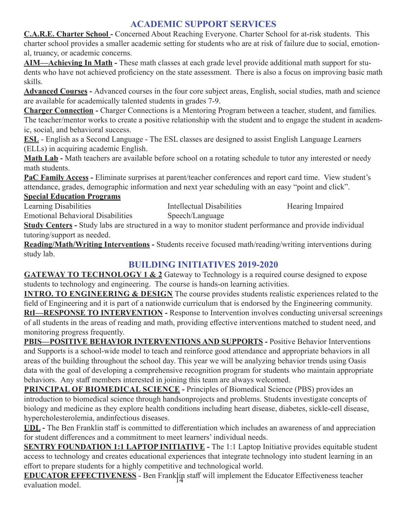# **ACADEMIC SUPPORT SERVICES**

**C.A.R.E. Charter School - Concerned About Reaching Everyone. Charter School for at-risk students. This** charter school provides a smaller academic setting for students who are at risk of failure due to social, emotional, truancy, or academic concerns.

**AIM—Achieving In Math -** These math classes at each grade level provide additional math support for students who have not achieved proficiency on the state assessment. There is also a focus on improving basic math skills.

**Advanced Courses -** Advanced courses in the four core subject areas, English, social studies, math and science are available for academically talented students in grades 7-9.

**Charger Connection -** Charger Connections is a Mentoring Program between a teacher, student, and families. The teacher/mentor works to create a positive relationship with the student and to engage the student in academic, social, and behavioral success.

**ESL** - English as a Second Language - The ESL classes are designed to assist English Language Learners (ELLs) in acquiring academic English.

**Math Lab -** Math teachers are available before school on a rotating schedule to tutor any interested or needy math students.

**PaC Family Access -** Eliminate surprises at parent/teacher conferences and report card time. View student's attendance, grades, demographic information and next year scheduling with an easy "point and click".

**Special Education Programs**

Learning Disabilities Intellectual Disabilities Hearing Impaired Emotional Behavioral Disabilities Speech/Language

**Study Centers -** Study labs are structured in a way to monitor student performance and provide individual tutoring/support as needed.

**Reading/Math/Writing Interventions -** Students receive focused math/reading/writing interventions during study lab.

# **BUILDING INITIATIVES 2019-2020**

**GATEWAY TO TECHNOLOGY 1 & 2** Gateway to Technology is a required course designed to expose students to technology and engineering. The course is hands-on learning activities.

**INTRO. TO ENGINEERING & DESIGN** The course provides students realistic experiences related to the field of Engineering and it is part of a nationwide curriculum that is endorsed by the Engineering community. **RtI—RESPONSE TO INTERVENTION -** Response to Intervention involves conducting universal screenings of all students in the areas of reading and math, providing effective interventions matched to student need, and monitoring progress frequently.

**PBIS—POSITIVE BEHAVIOR INTERVENTIONS AND SUPPORTS -** Positive Behavior Interventions and Supports is a school-wide model to teach and reinforce good attendance and appropriate behaviors in all areas of the building throughout the school day. This year we will be analyzing behavior trends using Oasis data with the goal of developing a comprehensive recognition program for students who maintain appropriate behaviors. Any staff members interested in joining this team are always welcomed.

**PRINCIPAL OF BIOMEDICAL SCIENCE -** Principles of Biomedical Science (PBS) provides an introduction to biomedical science through handsonprojects and problems. Students investigate concepts of biology and medicine as they explore health conditions including heart disease, diabetes, sickle-cell disease, hypercholesterolemia, andinfectious diseases.

**UDL -** The Ben Franklin staff is committed to differentiation which includes an awareness of and appreciation for student differences and a commitment to meet learners' individual needs.

**SENTRY FOUNDATION 1:1 LAPTOP INITIATIVE - The 1:1 Laptop Initiative provides equitable student** access to technology and creates educational experiences that integrate technology into student learning in an effort to prepare students for a highly competitive and technological world.

**EDUCATOR EFFECTIVENESS** - Ben Franklin staff will implement the Educator Effectiveness teacher evaluation model.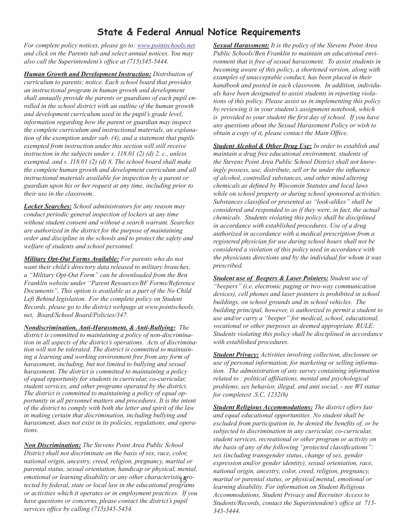# **State & Federal Annual Notice Requirements**

*For complete policy notices, please go to: www.pointschools.net and click on the Parents tab and select annual notices. You may also call the Superintendent's office at (715)345-5444.* 

*Human Growth and Development Instruction: Distribution of curriculum to parents; notice. Each school board that provides an instructional program in human growth and development shall annually provide the parents or guardians of each pupil enrolled in the school district with an outline of the human growth and development curriculum used in the pupil's grade level, information regarding how the parent or guardian may inspect the complete curriculum and instructional materials, an explanation of the exemption under sub. (4), and a statement that pupils exempted from instruction under this section will still receive instruction in the subjects under s. 118.01 (2) (d) 2. c., unless exempted, and s. 118.01 (2) (d) 8. The school board shall make the complete human growth and development curriculum and all instructional materials available for inspection by a parent or guardian upon his or her request at any time, including prior to their use in the classroom.*

*Locker Searches: School administrators for any reason may conduct periodic general inspection of lockers at any time without student consent and without a search warrant. Searches are authorized in the district for the purpose of maintaining order and discipline in the schools and to protect the safety and welfare of students and school personnel.*

*Military Opt-Out Forms Available: For parents who do not want their child's directory data released to military branches, a "Military Opt-Out Form" can be downloaded from the Ben Franklin website under "Parent Resources/BF Forms/Reference Documents", This option is available as a part of the No Child Left Behind legislation. For the complete policy on Student Records, please go to the district webpage at www.pointschools. net, Board/School Board/Policies/347.* 

*Nondiscrimination, Anti-Harassment, & Anti-Bullying: The district is committed to maintaining a policy of non-discrimination in all aspects of the district's operations. Acts of discrimination will not be tolerated. The district is committed to maintaining a learning and working environment free from any form of harassment, including, but not limited to bullying and sexual harassment. The district is committed to maintaining a policy of equal opportunity for students in curricular, co-curricular, student services, and other programs operated by the district. The district is committed to maintaining a policy of equal opportunity in all personnel matters and procedures. It is the intent of the district to comply with both the letter and spirit of the law in making certain that discrimination, including bullying and harassment, does not exist in its policies, regulations, and operations.*

emotional or learning disability or any other characteristic **p**ro-<br>tested by followel state on least liny in the educational and comp *Non Discrimination: The Stevens Point Area Public School District shall not discriminate on the basis of sex, race, color, national origin, ancestry, creed, religion, pregnancy, marital or parental status, sexual orientation, handicap or physical, mental, tected by federal, state or local law in the educational programs or activities which it operates or in employment practices. If you have questions or concerns, please contact the district's pupil services office by calling (715)345-5454.*

*Sexual Harassment: It is the policy of the Stevens Point Area Public Schools/Ben Franklin to maintain an educational environment that is free of sexual harassment. To assist students in becoming aware of this policy, a shortened version, along with examples of unacceptable conduct, has been placed in their handbook and posted in each classroom. In addition, individuals have been designated to assist students in reporting violations of this policy. Please assist us in implementing this policy by reviewing it in your student's assignment notebook, which is provided to your student the first day of school. If you have any questions about the Sexual Harassment Policy or wish to obtain a copy of it, please contact the Main Office.*

*Student Alcohol & Other Drug Use: In order to establish and maintain a drug free educational environment, students of the Stevens Point Area Public School District shall not knowingly possess, use, distribute, sell or be under the influence of alcohol, controlled substances, and other mind altering chemicals as defined by Wisconsin Statutes and local laws while on school property or during school sponsored activities. Substances classified or presented as "look-alikes" shall be considered and responded to as if they were, in fact, the actual chemicals. Students violating this policy shall be disciplined in accordance with established procedures. Use of a drug authorized in accordance with a medical prescription from a registered physician for use during school hours shall not be considered a violation of this policy used in accordance with the physicians directions and by the individual for whom it was prescribed.* 

*Student use of Beepers & Laser Pointers: Student use of "beepers" (i.e. electronic paging or two-way communication devices), cell phones and laser pointers is prohibited in school buildings, on school grounds and in school vehicles. The building principal, however, is authorized to permit a student to use and/or carry a "beeper" for medical, school, educational, vocational or other purposes as deemed appropriate. RULE: Students violating this policy shall be disciplined in accordance with established procedures.*

*Student Privacy: Activities involving collection, disclosure or use of personal information, for marketing or selling information. The administration of any survey containing information related to : political affiliations, mental and psychological problems, sex behavior, illegal, and anti social, - see WI statue for completest .S.C. 1232(h)*

*Student Religious Accommodations: The district offers fair and equal educational opportunities. No student shall be excluded from participation in, be denied the benefits of, or be subjected to discrimination in any curricular, co-curricular, student services, recreational or other program or activity on the basis of any of the following "protected classifications": sex (including transgender status, change of sex, gender expression and/or gender identity), sexual orientation, race, national origin, ancestry, color, creed, religion, pregnancy, marital or parental status, or physical,mental, emotional or learning disability. For information on Student Religious Accommodations, Student Privacy and Recruiter Access to Students/Records, contact the Superintendent's office at 715- 345-5444.*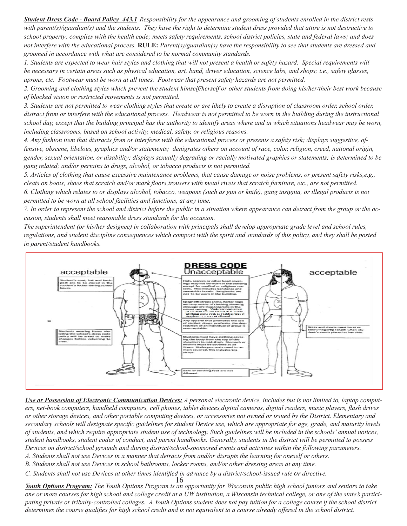*Student Dress Code - Board Policy 443.1 Responsibility for the appearance and grooming of students enrolled in the district rests with parent(s)/guardian(s) and the students. They have the right to determine student dress provided that attire is not destructive to school property; complies with the health code; meets safety requirements, school district policies, state and federal laws; and does not interfere with the educational process.* **RULE:** *Parent(s)/guardian(s) have the responsibility to see that students are dressed and groomed in accordance with what are considered to be normal community standards.*

*1. Students are expected to wear hair styles and clothing that will not present a health or safety hazard. Special requirements will be necessary in certain areas such as physical education, art, band, driver education, science labs, and shops; i.e., safety glasses, aprons, etc. Footwear must be worn at all times. Footwear that present safety hazards are not permitted.*

*2. Grooming and clothing styles which prevent the student himself/herself or other students from doing his/her/their best work because of blocked vision or restricted movements is not permitted.* 

*3. Students are not permitted to wear clothing styles that create or are likely to create a disruption of classroom order, school order, distract from or interfere with the educational process. Headwear is not permitted to be worn in the building during the instructional school day, except that the building principal has the authority to identify areas where and in which situations headwear may be worn, including classrooms, based on school activity, medical, safety, or religious reasons.*

*4. Any fashion item that distracts from or interferes with the educational process or presents a safety risk; displays suggestive, offensive, obscene, libelous, graphics and/or statements; denigrates others on account of race, color, religion, creed, national origin, gender, sexual orientation, or disability; displays sexually degrading or racially motivated graphics or statements; is determined to be gang related; and/or pertains to drugs, alcohol, or tobacco products is not permitted.*

*5. Articles of clothing that cause excessive maintenance problems, that cause damage or noise problems, or present safety risks,e.g., cleats on boots, shoes that scratch and/or mark floors,trousers with metal rivets that scratch furniture, etc., are not permitted.*

*6. Clothing which relates to or displays alcohol, tobacco, weapons (such as gun or knife), gang insignia, or illegal products is not permitted to be worn at all school facilities and functions, at any time.*

*7. In order to represent the school and district before the public in a situation where appearance can detract from the group or the occasion, students shall meet reasonable dress standards for the occasion.*

*The superintendent (or his/her designee) in collaboration with principals shall develop appropriate grade level and school rules, regulations, and student discipline consequences which comport with the spirit and standards of this policy, and they shall be posted in parent/student handbooks.*



*Use or Possession of Electronic Communication Devices: A personal electronic device, includes but is not limited to, laptop computers, net-book computers, handheld computers, cell phones, tablet devices,digital cameras, digital readers, music players, flash drives or other storage devices, and other portable computing devices, or accessories not owned or issued by the District. Elementary and secondary schools will designate specific guidelines for student Device use, which are appropriate for age, grade, and maturity levels of students, and which require appropriate student use of technology. Such guidelines will be included in the schools' annual notices, student handbooks, student codes of conduct, and parent handbooks. Generally, students in the district will be permitted to possess Devices on district/school grounds and during district/school-sponsored events and activities within the following parameters.*

*A. Students shall not use Devices in a manner that detracts from and/or disrupts the learning for oneself or others.*

*B. Students shall not use Devices in school bathrooms, locker rooms, and/or other dressing areas at any time.*

*C. Students shall not use Devices at other times identified in advance by a district/school-issued rule or directive.*

16 *Youth Options Program: The Youth Options Program is an opportunity for Wisconsin public high school juniors and seniors to take one or more courses for high school and college credit at a UW institution, a Wisconsin technical college, or one of the state's participating private or tribally-controlled colleges. A Youth Options student does not pay tuition for a college course if the school district determines the course qualifies for high school credit and is not equivalent to a course already offered in the school district.*